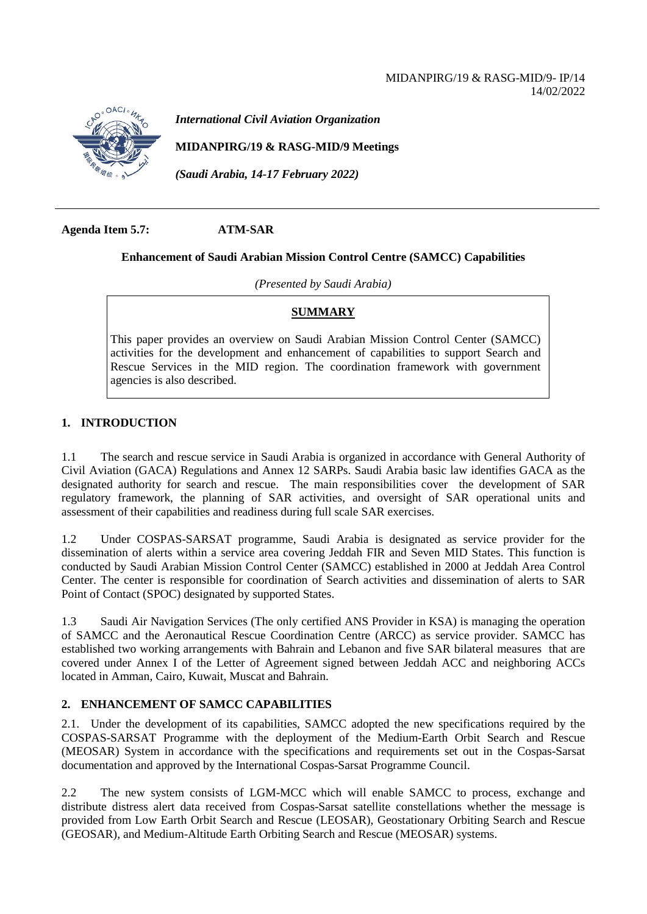

*International Civil Aviation Organization*

**MIDANPIRG/19 & RASG-MID/9 Meetings**

*(Saudi Arabia, 14-17 February 2022)*

**Agenda Item 5.7: ATM-SAR**

### **Enhancement of Saudi Arabian Mission Control Centre (SAMCC) Capabilities**

*(Presented by Saudi Arabia)*

## **SUMMARY**

This paper provides an overview on Saudi Arabian Mission Control Center (SAMCC) activities for the development and enhancement of capabilities to support Search and Rescue Services in the MID region. The coordination framework with government agencies is also described.

## **1. INTRODUCTION**

1.1 The search and rescue service in Saudi Arabia is organized in accordance with General Authority of Civil Aviation (GACA) Regulations and Annex 12 SARPs. Saudi Arabia basic law identifies GACA as the designated authority for search and rescue. The main responsibilities cover the development of SAR regulatory framework, the planning of SAR activities, and oversight of SAR operational units and assessment of their capabilities and readiness during full scale SAR exercises.

1.2 Under COSPAS-SARSAT programme, Saudi Arabia is designated as service provider for the dissemination of alerts within a service area covering Jeddah FIR and Seven MID States. This function is conducted by Saudi Arabian Mission Control Center (SAMCC) established in 2000 at Jeddah Area Control Center. The center is responsible for coordination of Search activities and dissemination of alerts to SAR Point of Contact (SPOC) designated by supported States.

1.3 Saudi Air Navigation Services (The only certified ANS Provider in KSA) is managing the operation of SAMCC and the Aeronautical Rescue Coordination Centre (ARCC) as service provider. SAMCC has established two working arrangements with Bahrain and Lebanon and five SAR bilateral measures that are covered under Annex I of the Letter of Agreement signed between Jeddah ACC and neighboring ACCs located in Amman, Cairo, Kuwait, Muscat and Bahrain.

## **2. ENHANCEMENT OF SAMCC CAPABILITIES**

2.1. Under the development of its capabilities, SAMCC adopted the new specifications required by the COSPAS-SARSAT Programme with the deployment of the Medium-Earth Orbit Search and Rescue (MEOSAR) System in accordance with the specifications and requirements set out in the Cospas-Sarsat documentation and approved by the International Cospas-Sarsat Programme Council.

2.2 The new system consists of LGM-MCC which will enable SAMCC to process, exchange and distribute distress alert data received from Cospas-Sarsat satellite constellations whether the message is provided from Low Earth Orbit Search and Rescue (LEOSAR), Geostationary Orbiting Search and Rescue (GEOSAR), and Medium-Altitude Earth Orbiting Search and Rescue (MEOSAR) systems.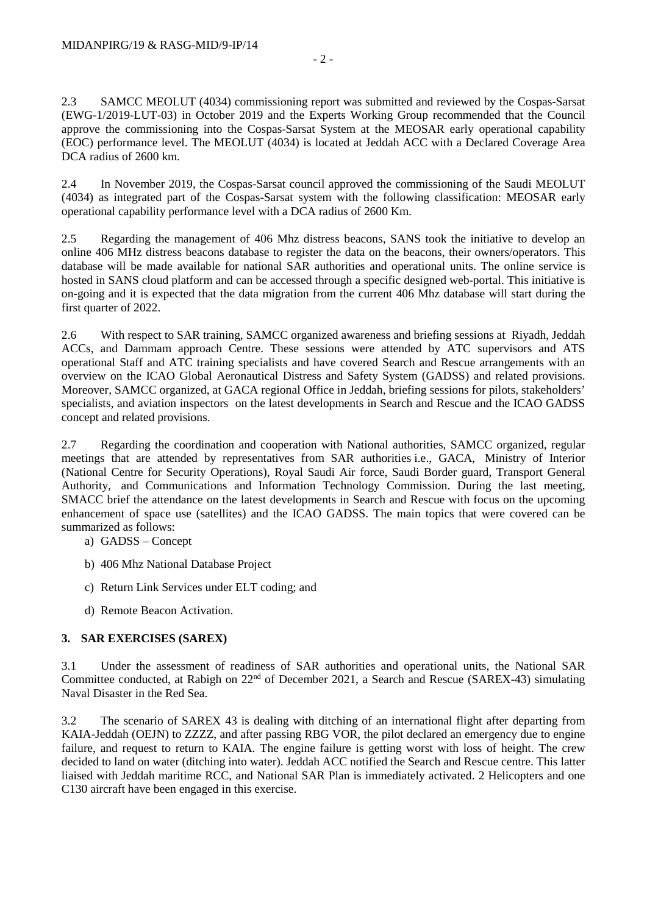2.3 SAMCC MEOLUT (4034) commissioning report was submitted and reviewed by the Cospas-Sarsat (EWG-1/2019-LUT-03) in October 2019 and the Experts Working Group recommended that the Council approve the commissioning into the Cospas-Sarsat System at the MEOSAR early operational capability (EOC) performance level. The MEOLUT (4034) is located at Jeddah ACC with a Declared Coverage Area DCA radius of 2600 km.

2.4 In November 2019, the Cospas-Sarsat council approved the commissioning of the Saudi MEOLUT (4034) as integrated part of the Cospas-Sarsat system with the following classification: MEOSAR early operational capability performance level with a DCA radius of 2600 Km.

2.5 Regarding the management of 406 Mhz distress beacons, SANS took the initiative to develop an online 406 MHz distress beacons database to register the data on the beacons, their owners/operators. This database will be made available for national SAR authorities and operational units. The online service is hosted in SANS cloud platform and can be accessed through a specific designed web-portal. This initiative is on-going and it is expected that the data migration from the current 406 Mhz database will start during the first quarter of 2022.

2.6 With respect to SAR training, SAMCC organized awareness and briefing sessions at Riyadh, Jeddah ACCs, and Dammam approach Centre. These sessions were attended by ATC supervisors and ATS operational Staff and ATC training specialists and have covered Search and Rescue arrangements with an overview on the ICAO Global Aeronautical Distress and Safety System (GADSS) and related provisions. Moreover, SAMCC organized, at GACA regional Office in Jeddah, briefing sessions for pilots, stakeholders' specialists, and aviation inspectors on the latest developments in Search and Rescue and the ICAO GADSS concept and related provisions.

2.7 Regarding the coordination and cooperation with National authorities, SAMCC organized, regular meetings that are attended by representatives from SAR authorities i.e., GACA, Ministry of Interior (National Centre for Security Operations), Royal Saudi Air force, Saudi Border guard, Transport General Authority, and Communications and Information Technology Commission. During the last meeting, SMACC brief the attendance on the latest developments in Search and Rescue with focus on the upcoming enhancement of space use (satellites) and the ICAO GADSS. The main topics that were covered can be summarized as follows:

- a) GADSS Concept
- b) 406 Mhz National Database Project
- c) Return Link Services under ELT coding; and
- d) Remote Beacon Activation.

# **3. SAR EXERCISES (SAREX)**

3.1 Under the assessment of readiness of SAR authorities and operational units, the National SAR Committee conducted, at Rabigh on  $22<sup>nd</sup>$  of December 2021, a Search and Rescue (SAREX-43) simulating Naval Disaster in the Red Sea.

3.2 The scenario of SAREX 43 is dealing with ditching of an international flight after departing from KAIA-Jeddah (OEJN) to ZZZZ, and after passing RBG VOR, the pilot declared an emergency due to engine failure, and request to return to KAIA. The engine failure is getting worst with loss of height. The crew decided to land on water (ditching into water). Jeddah ACC notified the Search and Rescue centre. This latter liaised with Jeddah maritime RCC, and National SAR Plan is immediately activated. 2 Helicopters and one C130 aircraft have been engaged in this exercise.